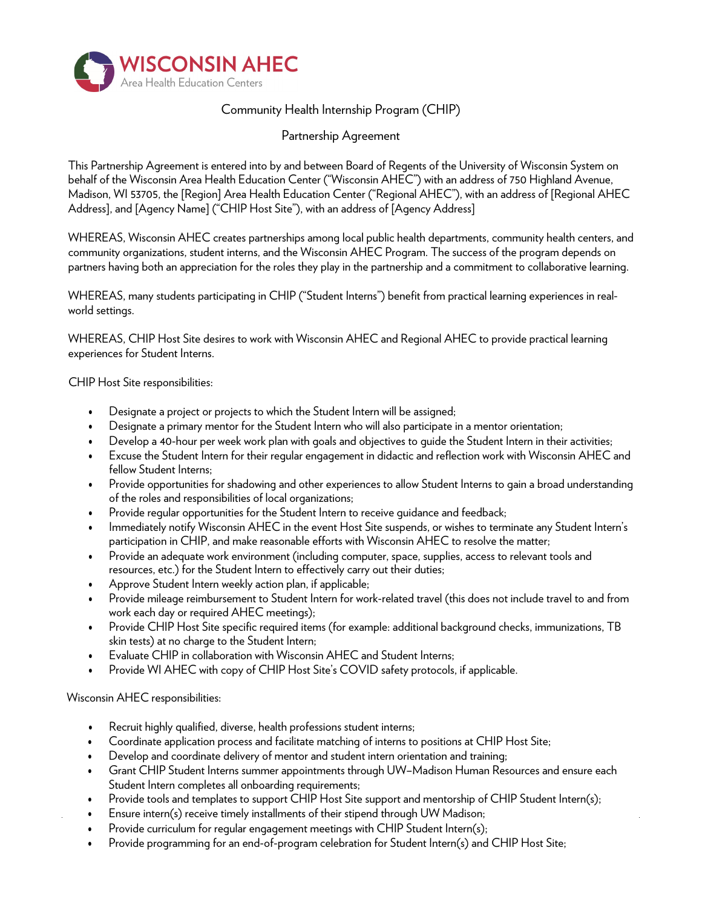

## Community Health Internship Program (CHIP)

Partnership Agreement

This Partnership Agreement is entered into by and between Board of Regents of the University of Wisconsin System on behalf of the Wisconsin Area Health Education Center ("Wisconsin AHEC") with an address of 750 Highland Avenue, Madison, WI 53705, the [Region] Area Health Education Center ("Regional AHEC"), with an address of [Regional AHEC Address], and [Agency Name] ("CHIP Host Site"), with an address of [Agency Address]

WHEREAS, Wisconsin AHEC creates partnerships among local public health departments, community health centers, and community organizations, student interns, and the Wisconsin AHEC Program. The success of the program depends on partners having both an appreciation for the roles they play in the partnership and a commitment to collaborative learning.

WHEREAS, many students participating in CHIP ("Student Interns") benefit from practical learning experiences in realworld settings.

WHEREAS, CHIP Host Site desires to work with Wisconsin AHEC and Regional AHEC to provide practical learning experiences for Student Interns.

CHIP Host Site responsibilities:

- Designate a project or projects to which the Student Intern will be assigned;
- Designate a primary mentor for the Student Intern who will also participate in a mentor orientation;
- Develop a 40-hour per week work plan with goals and objectives to guide the Student Intern in their activities;
- Excuse the Student Intern for their regular engagement in didactic and reflection work with Wisconsin AHEC and fellow Student Interns;
- Provide opportunities for shadowing and other experiences to allow Student Interns to gain a broad understanding of the roles and responsibilities of local organizations;
- Provide regular opportunities for the Student Intern to receive guidance and feedback;
- Immediately notify Wisconsin AHEC in the event Host Site suspends, or wishes to terminate any Student Intern's participation in CHIP, and make reasonable efforts with Wisconsin AHEC to resolve the matter;
- Provide an adequate work environment (including computer, space, supplies, access to relevant tools and resources, etc.) for the Student Intern to effectively carry out their duties;
- Approve Student Intern weekly action plan, if applicable;
- Provide mileage reimbursement to Student Intern for work-related travel (this does not include travel to and from work each day or required AHEC meetings);
- Provide CHIP Host Site specific required items (for example: additional background checks, immunizations, TB skin tests) at no charge to the Student Intern;
- Evaluate CHIP in collaboration with Wisconsin AHEC and Student Interns;
- Provide WI AHEC with copy of CHIP Host Site's COVID safety protocols, if applicable.

Wisconsin AHEC responsibilities:

- Recruit highly qualified, diverse, health professions student interns;
- Coordinate application process and facilitate matching of interns to positions at CHIP Host Site;
- Develop and coordinate delivery of mentor and student intern orientation and training;
- Grant CHIP Student Interns summer appointments through UW–Madison Human Resources and ensure each Student Intern completes all onboarding requirements;
- Provide tools and templates to support CHIP Host Site support and mentorship of CHIP Student Intern(s);
- Ensure intern(s) receive timely installments of their stipend through UW Madison;
- Provide curriculum for regular engagement meetings with CHIP Student Intern(s);
- Provide programming for an end-of-program celebration for Student Intern(s) and CHIP Host Site;